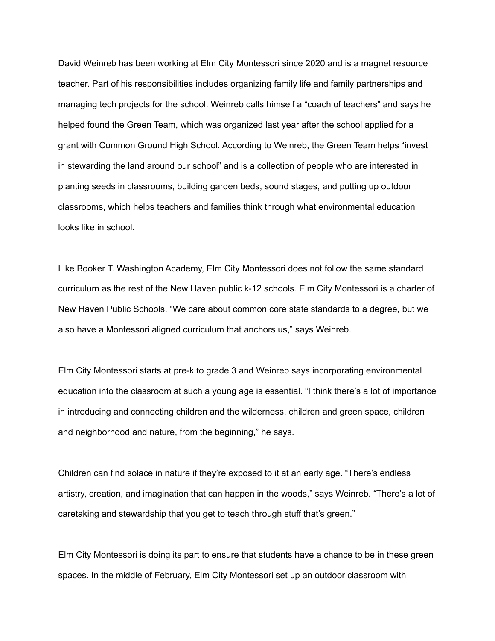David Weinreb has been working at Elm City Montessori since 2020 and is a magnet resource teacher. Part of his responsibilities includes organizing family life and family partnerships and managing tech projects for the school. Weinreb calls himself a "coach of teachers" and says he helped found the Green Team, which was organized last year after the school applied for a grant with Common Ground High School. According to Weinreb, the Green Team helps "invest in stewarding the land around our school" and is a collection of people who are interested in planting seeds in classrooms, building garden beds, sound stages, and putting up outdoor classrooms, which helps teachers and families think through what environmental education looks like in school.

Like Booker T. Washington Academy, Elm City Montessori does not follow the same standard curriculum as the rest of the New Haven public k-12 schools. Elm City Montessori is a charter of New Haven Public Schools. "We care about common core state standards to a degree, but we also have a Montessori aligned curriculum that anchors us," says Weinreb.

Elm City Montessori starts at pre-k to grade 3 and Weinreb says incorporating environmental education into the classroom at such a young age is essential. "I think there's a lot of importance in introducing and connecting children and the wilderness, children and green space, children and neighborhood and nature, from the beginning," he says.

Children can find solace in nature if they're exposed to it at an early age. "There's endless artistry, creation, and imagination that can happen in the woods," says Weinreb. "There's a lot of caretaking and stewardship that you get to teach through stuff that's green."

Elm City Montessori is doing its part to ensure that students have a chance to be in these green spaces. In the middle of February, Elm City Montessori set up an outdoor classroom with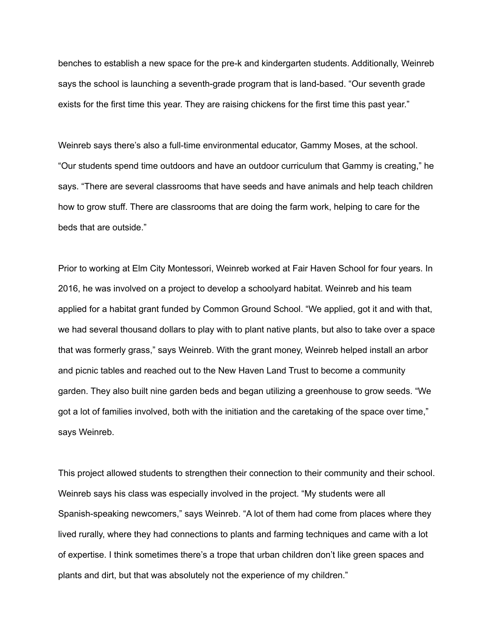benches to establish a new space for the pre-k and kindergarten students. Additionally, Weinreb says the school is launching a seventh-grade program that is land-based. "Our seventh grade exists for the first time this year. They are raising chickens for the first time this past year."

Weinreb says there's also a full-time environmental educator, Gammy Moses, at the school. "Our students spend time outdoors and have an outdoor curriculum that Gammy is creating," he says. "There are several classrooms that have seeds and have animals and help teach children how to grow stuff. There are classrooms that are doing the farm work, helping to care for the beds that are outside."

Prior to working at Elm City Montessori, Weinreb worked at Fair Haven School for four years. In 2016, he was involved on a project to develop a schoolyard habitat. Weinreb and his team applied for a habitat grant funded by Common Ground School. "We applied, got it and with that, we had several thousand dollars to play with to plant native plants, but also to take over a space that was formerly grass," says Weinreb. With the grant money, Weinreb helped install an arbor and picnic tables and reached out to the New Haven Land Trust to become a community garden. They also built nine garden beds and began utilizing a greenhouse to grow seeds. "We got a lot of families involved, both with the initiation and the caretaking of the space over time," says Weinreb.

This project allowed students to strengthen their connection to their community and their school. Weinreb says his class was especially involved in the project. "My students were all Spanish-speaking newcomers," says Weinreb. "A lot of them had come from places where they lived rurally, where they had connections to plants and farming techniques and came with a lot of expertise. I think sometimes there's a trope that urban children don't like green spaces and plants and dirt, but that was absolutely not the experience of my children."